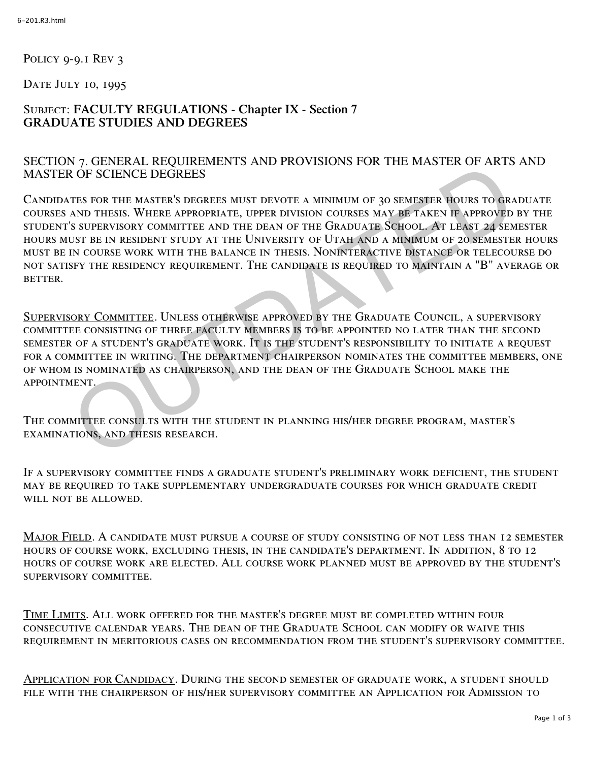POLICY 9-9.1 REV 3

DATE JULY 10, 1995

## Subject: **FACULTY REGULATIONS - Chapter IX - Section 7 GRADUATE STUDIES AND DEGREES**

## SECTION 7. GENERAL REQUIREMENTS AND PROVISIONS FOR THE MASTER OF ARTS AND MASTER OF SCIENCE DEGREES

Candidates for the master's degrees must devote a minimum of 30 semester hours to graduate courses and thesis. Where appropriate, upper division courses may be taken if approved by the student's supervisory committee and the dean of the Graduate School. At least 24 semester hours must be in resident study at the University of Utah and a minimum of 20 semester hours must be in course work with the balance in thesis. Noninteractive distance or telecourse do not satisfy the residency requirement. The candidate is required to maintain a "B" average or **BETTER.** V, CONSILING DESCRIPTION TO HARD MINIMUM OF 30 SEMESTER HOURS TO GRAND THESES.<br>THE FOR THE MASTER'S DEGREES MUST DEVOTE A MINIMUM OF 30 SEMESTER HOURS TO GRAND THESIS. WHERE APPROPRIATE, UPPER DIVISION COURSES MAY BE TAKEN

Supervisory Committee. Unless otherwise approved by the Graduate Council, a supervisory committee consisting of three faculty members is to be appointed no later than the second semester of a student's graduate work. It is the student's responsibility to initiate a request for a committee in writing. The department chairperson nominates the committee members, one of whom is nominated as chairperson, and the dean of the Graduate School make the appointment.

The committee consults with the student in planning his/her degree program, master's examinations, and thesis research.

If a supervisory committee finds a graduate student's preliminary work deficient, the student may be required to take supplementary undergraduate courses for which graduate credit will not be allowed.

Major Field. A candidate must pursue a course of study consisting of not less than 12 semester hours of course work, excluding thesis, in the candidate's department. In addition, 8 to 12 hours of course work are elected. All course work planned must be approved by the student's supervisory committee.

Time Limits. All work offered for the master's degree must be completed within four consecutive calendar years. The dean of the Graduate School can modify or waive this requirement in meritorious cases on recommendation from the student's supervisory committee.

Application for Candidacy. During the second semester of graduate work, a student should file with the chairperson of his/her supervisory committee an Application for Admission to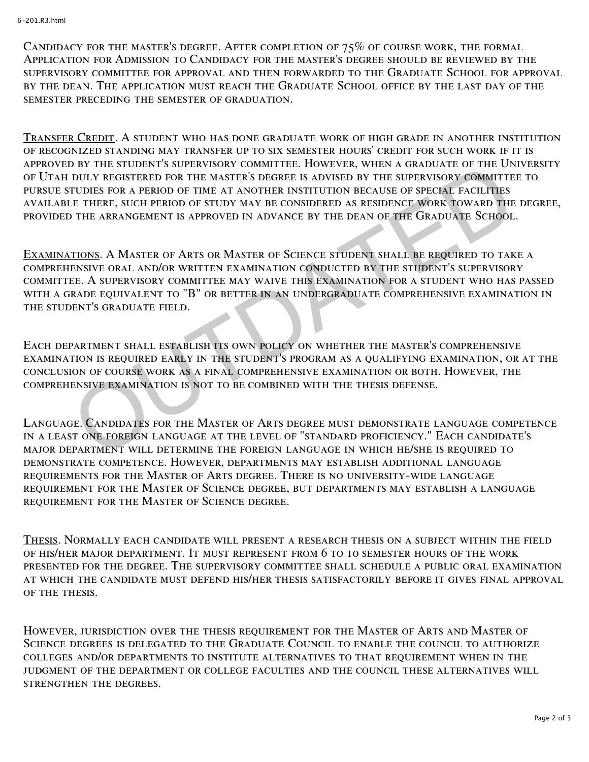CANDIDACY FOR THE MASTER'S DEGREE. AFTER COMPLETION OF  $75\%$  OF COURSE WORK, THE FORMAL Application for Admission to Candidacy for the master's degree should be reviewed by the supervisory committee for approval and then forwarded to the Graduate School for approval by the dean. The application must reach the Graduate School office by the last day of the semester preceding the semester of graduation.

Transfer Credit. A student who has done graduate work of high grade in another institution of recognized standing may transfer up to six semester hours' credit for such work if it is approved by the student's supervisory committee. However, when a graduate of the University of Utah duly registered for the master's degree is advised by the supervisory committee to pursue studies for a period of time at another institution because of special facilities available there, such period of study may be considered as residence work toward the degree, provided the arrangement is approved in advance by the dean of the Graduate School.

Examinations. A Master of Arts or Master of Science student shall be required to take a comprehensive oral and/or written examination conducted by the student's supervisory committee. A supervisory committee may waive this examination for a student who has passed with a grade equivalent to "B" or better in an undergraduate comprehensive examination in the student's graduate field. OF THE SHOENER SOURCE MENISMONT COMMITTEL. HOWEVER, WHEN A GRADUATE OF THE UNITY REGISTERED FOR THE MASTER'S DEGREE IS ADVISED BY THE SUPERVISORY COMMITTE<br>TUDIES FOR A PERIOD OF TIME AT ANOTHER INSTITUTION BECAUSE OF SPECI

Each department shall establish its own policy on whether the master's comprehensive examination is required early in the student's program as a qualifying examination, or at the conclusion of course work as a final comprehensive examination or both. However, the comprehensive examination is not to be combined with the thesis defense.

Language. Candidates for the Master of Arts degree must demonstrate language competence in a least one foreign language at the level of "standard proficiency." Each candidate's major department will determine the foreign language in which he/she is required to demonstrate competence. However, departments may establish additional language requirements for the Master of Arts degree. There is no university-wide language requirement for the Master of Science degree, but departments may establish a language requirement for the Master of Science degree.

Thesis. Normally each candidate will present a research thesis on a subject within the field of his/her major department. It must represent from 6 to 10 semester hours of the work presented for the degree. The supervisory committee shall schedule a public oral examination at which the candidate must defend his/her thesis satisfactorily before it gives final approval of the thesis.

However, jurisdiction over the thesis requirement for the Master of Arts and Master of Science degrees is delegated to the Graduate Council to enable the council to authorize colleges and/or departments to institute alternatives to that requirement when in the judgment of the department or college faculties and the council these alternatives will strengthen the degrees.